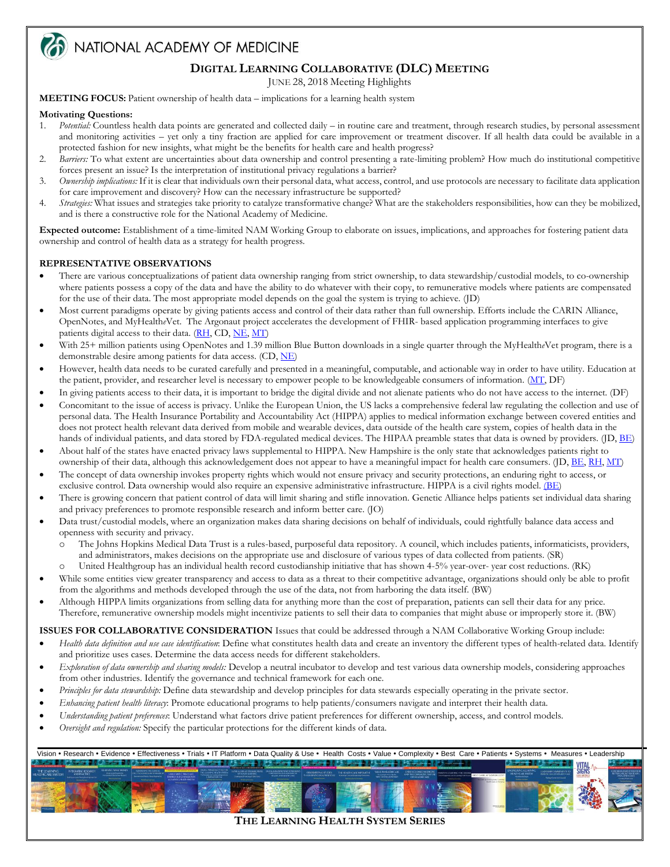

# NATIONAL ACADEMY OF MEDICINE

## **DIGITAL LEARNING COLLABORATIVE (DLC) MEETING**

JUNE 28, 2018 Meeting Highlights

**MEETING FOCUS:** Patient ownership of health data – implications for a learning health system

#### **Motivating Questions:**

- 1. *Potential:* Countless health data points are generated and collected daily in routine care and treatment, through research studies, by personal assessment and monitoring activities – yet only a tiny fraction are applied for care improvement or treatment discover. If all health data could be available in a protected fashion for new insights, what might be the benefits for health care and health progress?
- 2. *Barriers:* To what extent are uncertainties about data ownership and control presenting a rate-limiting problem? How much do institutional competitive forces present an issue? Is the interpretation of institutional privacy regulations a barrier?
- 3. *Ownership implications:* If it is clear that individuals own their personal data, what access, control, and use protocols are necessary to facilitate data application for care improvement and discovery? How can the necessary infrastructure be supported?
- 4. *Strategies:* What issues and strategies take priority to catalyze transformative change? What are the stakeholders responsibilities, how can they be mobilized, and is there a constructive role for the National Academy of Medicine.

**Expected outcome:** Establishment of a time-limited NAM Working Group to elaborate on issues, implications, and approaches for fostering patient data ownership and control of health data as a strategy for health progress.

#### **REPRESENTATIVE OBSERVATIONS**

- There are various conceptualizations of patient data ownership ranging from strict ownership, to data stewardship/custodial models, to co-ownership where patients possess a copy of the data and have the ability to do whatever with their copy, to remunerative models where patients are compensated for the use of their data. The most appropriate model depends on the goal the system is trying to achieve. (JD)
- Most current paradigms operate by giving patients access and control of their data rather than full ownership. Efforts include the CARIN Alliance, OpenNotes, and MyHealth*e*Vet. The Argonaut project accelerates the development of FHIR- based application programming interfaces to give patients digital access to their data. (*RH*, CD, *NE*, *MT*)
- With 25+ million patients using OpenNotes and 1.39 million Blue Button downloads in a single quarter through the MyHealth*e*Vet program, there is a demonstrable desire among patients for data access. (CD[, NE\)](https://nam.edu/wp-content/uploads/2018/07/5-Neil-Evans-NAM-CONNECTED-CARE-EVANS-vFINAL.pdf)
- However, health data needs to be curated carefully and presented in a meaningful, computable, and actionable way in order to have utility. Education at the patient, provider, and researcher level is necessary to empower people to be knowledgeable consumers of information. [\(MT,](https://nam.edu/wp-content/uploads/2018/07/3-NAM-Tripathi-28-Jun-2018.pdf) DF)
- In giving patients access to their data, it is important to bridge the digital divide and not alienate patients who do not have access to the internet. (DF)
- Concomitant to the issue of access is privacy. Unlike the European Union, the US lacks a comprehensive federal law regulating the collection and use of personal data. The Health Insurance Portability and Accountability Act (HIPPA) applies to medical information exchange between covered entities and does not protect health relevant data derived from mobile and wearable devices, data outside of the health care system, copies of health data in the hands of individual patients, and data stored by FDA-regulated medical devices. The HIPAA preamble states that data is owned by providers. (JD[, BE\)](https://nam.edu/wp-content/uploads/2018/07/6-Barbara-Evans-NAM-Digital-Learning-V2-6-28-2018.pdf)
- About half of the states have enacted privacy laws supplemental to HIPPA. New Hampshire is the only state that acknowledges patients right to ownership of their data, although this acknowledgement does not appear to have a meaningful impact for health care consumers. (JD, [BE,](https://nam.edu/wp-content/uploads/2018/07/6-Barbara-Evans-NAM-Digital-Learning-V2-6-28-2018.pdf) [RH,](https://nam.edu/wp-content/uploads/2018/07/1CARIN_main_062018.pdf) [MT\)](https://nam.edu/wp-content/uploads/2018/07/3-NAM-Tripathi-28-Jun-2018.pdf)
- The concept of data ownership invokes property rights which would not ensure privacy and security protections, an enduring right to access, or exclusive control. Data ownership would also require an expensive administrative infrastructure. HIPPA is a civil rights model. [\(BE\)](https://nam.edu/wp-content/uploads/2018/07/6-Barbara-Evans-NAM-Digital-Learning-V2-6-28-2018.pdf)
- There is growing concern that patient control of data will limit sharing and stifle innovation. Genetic Alliance helps patients set individual data sharing and privacy preferences to promote responsible research and inform better care. (JO)
- Data trust/custodial models, where an organization makes data sharing decisions on behalf of individuals, could rightfully balance data access and openness with security and privacy.
	- o The Johns Hopkins Medical Data Trust is a rules-based, purposeful data repository. A council, which includes patients, informaticists, providers, and administrators, makes decisions on the appropriate use and disclosure of various types of data collected from patients. (SR)
	- o United Healthgroup has an individual health record custodianship initiative that has shown 4-5% year-over- year cost reductions. (RK)
- While some entities view greater transparency and access to data as a threat to their competitive advantage, organizations should only be able to profit from the algorithms and methods developed through the use of the data, not from harboring the data itself. (BW)
- Although HIPPA limits organizations from selling data for anything more than the cost of preparation, patients can sell their data for any price. Therefore, remunerative ownership models might incentivize patients to sell their data to companies that might abuse or improperly store it. (BW)

### **ISSUES FOR COLLABORATIVE CONSIDERATION** Issues that could be addressed through a NAM Collaborative Working Group include:

- *Health data definition and use case identification*: Define what constitutes health data and create an inventory the different types of health-related data. Identify and prioritize uses cases. Determine the data access needs for different stakeholders.
- *Exploration of data ownership and sharing models:* Develop a neutral incubator to develop and test various data ownership models, considering approaches from other industries. Identify the governance and technical framework for each one.
- *Principles for data stewardship:* Define data stewardship and develop principles for data stewards especially operating in the private sector.
- *Enhancing patient health literacy*: Promote educational programs to help patients/consumers navigate and interpret their health data.
- *Understanding patient preferences*: Understand what factors drive patient preferences for different ownership, access, and control models.
- *Oversight and regulation:* Specify the particular protections for the different kinds of data.



**THE LEARNING HEALTH SYSTEM SERIES**